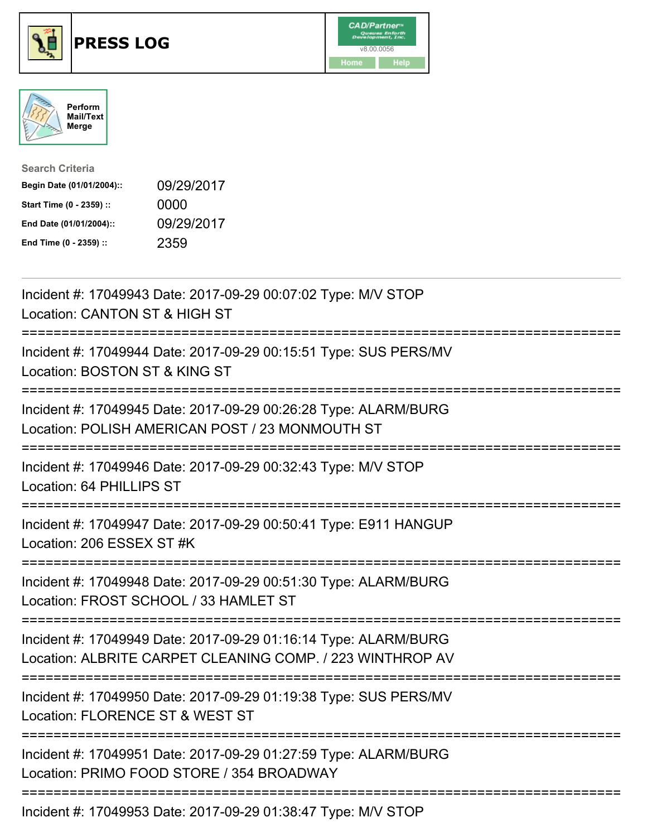





| <b>Search Criteria</b>    |            |
|---------------------------|------------|
| Begin Date (01/01/2004):: | 09/29/2017 |
| Start Time (0 - 2359) ::  | 0000       |
| End Date (01/01/2004)::   | 09/29/2017 |
| End Time (0 - 2359) ::    | 2359       |

| Incident #: 17049943 Date: 2017-09-29 00:07:02 Type: M/V STOP<br>Location: CANTON ST & HIGH ST                                                         |
|--------------------------------------------------------------------------------------------------------------------------------------------------------|
| Incident #: 17049944 Date: 2017-09-29 00:15:51 Type: SUS PERS/MV<br>Location: BOSTON ST & KING ST                                                      |
| Incident #: 17049945 Date: 2017-09-29 00:26:28 Type: ALARM/BURG<br>Location: POLISH AMERICAN POST / 23 MONMOUTH ST                                     |
| Incident #: 17049946 Date: 2017-09-29 00:32:43 Type: M/V STOP<br>Location: 64 PHILLIPS ST                                                              |
| Incident #: 17049947 Date: 2017-09-29 00:50:41 Type: E911 HANGUP<br>Location: 206 ESSEX ST #K<br>:===============                                      |
| Incident #: 17049948 Date: 2017-09-29 00:51:30 Type: ALARM/BURG<br>Location: FROST SCHOOL / 33 HAMLET ST                                               |
| Incident #: 17049949 Date: 2017-09-29 01:16:14 Type: ALARM/BURG<br>Location: ALBRITE CARPET CLEANING COMP. / 223 WINTHROP AV                           |
| Incident #: 17049950 Date: 2017-09-29 01:19:38 Type: SUS PERS/MV<br>Location: FLORENCE ST & WEST ST<br>:==========================<br>================ |
| Incident #: 17049951 Date: 2017-09-29 01:27:59 Type: ALARM/BURG<br>Location: PRIMO FOOD STORE / 354 BROADWAY                                           |
| Incident #: 17049953 Date: 2017-09-29 01:38:47 Type: M/V STOP                                                                                          |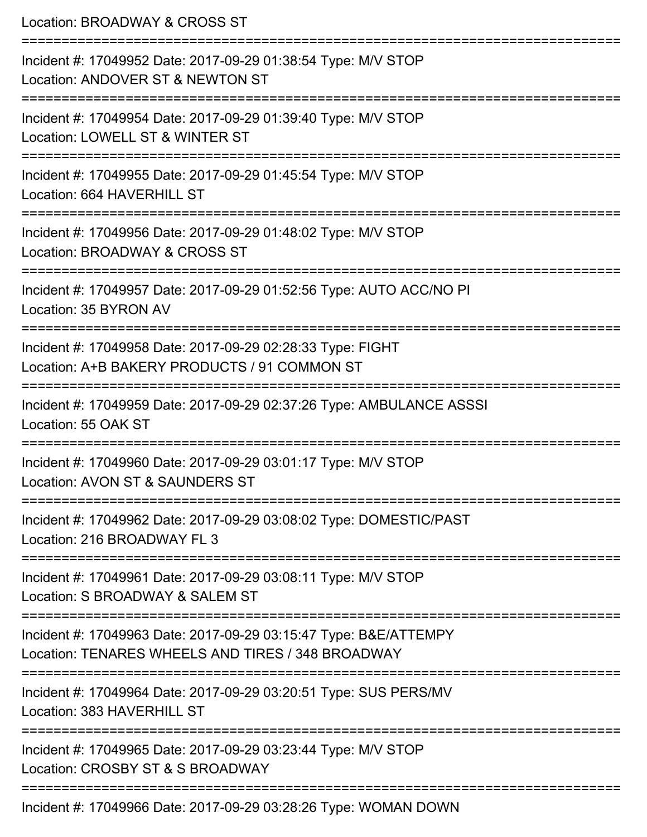Location: BROADWAY & CROSS ST =========================================================================== Incident #: 17049952 Date: 2017-09-29 01:38:54 Type: M/V STOP Location: ANDOVER ST & NEWTON ST =========================================================================== Incident #: 17049954 Date: 2017-09-29 01:39:40 Type: M/V STOP Location: LOWELL ST & WINTER ST =========================================================================== Incident #: 17049955 Date: 2017-09-29 01:45:54 Type: M/V STOP Location: 664 HAVERHILL ST =========================================================================== Incident #: 17049956 Date: 2017-09-29 01:48:02 Type: M/V STOP Location: BROADWAY & CROSS ST =========================================================================== Incident #: 17049957 Date: 2017-09-29 01:52:56 Type: AUTO ACC/NO PI Location: 35 BYRON AV =========================================================================== Incident #: 17049958 Date: 2017-09-29 02:28:33 Type: FIGHT Location: A+B BAKERY PRODUCTS / 91 COMMON ST =========================================================================== Incident #: 17049959 Date: 2017-09-29 02:37:26 Type: AMBULANCE ASSSI Location: 55 OAK ST =========================================================================== Incident #: 17049960 Date: 2017-09-29 03:01:17 Type: M/V STOP Location: AVON ST & SAUNDERS ST =========================================================================== Incident #: 17049962 Date: 2017-09-29 03:08:02 Type: DOMESTIC/PAST Location: 216 BROADWAY FL 3 =========================================================================== Incident #: 17049961 Date: 2017-09-29 03:08:11 Type: M/V STOP Location: S BROADWAY & SALEM ST =========================================================================== Incident #: 17049963 Date: 2017-09-29 03:15:47 Type: B&E/ATTEMPY Location: TENARES WHEELS AND TIRES / 348 BROADWAY =========================================================================== Incident #: 17049964 Date: 2017-09-29 03:20:51 Type: SUS PERS/MV Location: 383 HAVERHILL ST =========================================================================== Incident #: 17049965 Date: 2017-09-29 03:23:44 Type: M/V STOP Location: CROSBY ST & S BROADWAY =========================================================================== Incident #: 17049966 Date: 2017-09-29 03:28:26 Type: WOMAN DOWN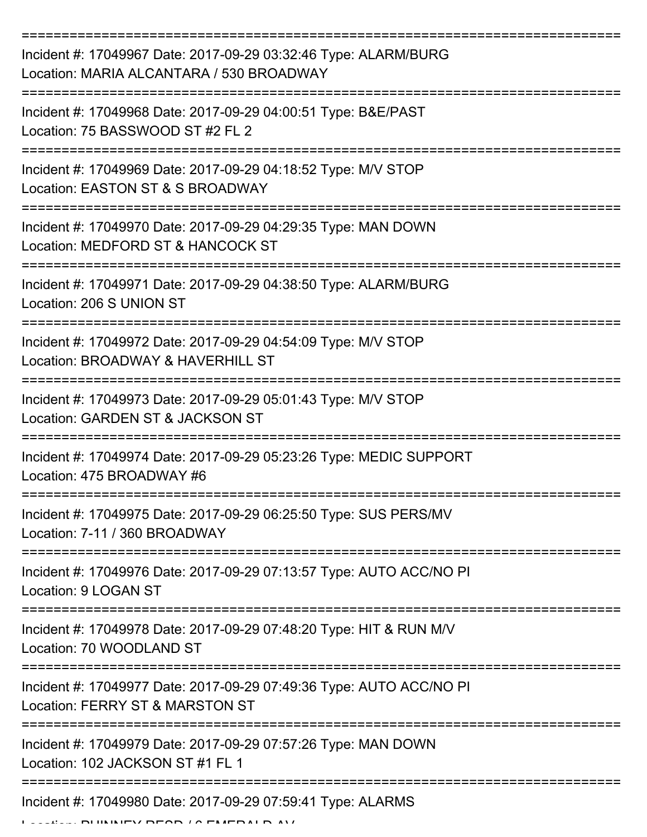| Incident #: 17049967 Date: 2017-09-29 03:32:46 Type: ALARM/BURG<br>Location: MARIA ALCANTARA / 530 BROADWAY                          |
|--------------------------------------------------------------------------------------------------------------------------------------|
| Incident #: 17049968 Date: 2017-09-29 04:00:51 Type: B&E/PAST<br>Location: 75 BASSWOOD ST #2 FL 2                                    |
| Incident #: 17049969 Date: 2017-09-29 04:18:52 Type: M/V STOP<br>Location: EASTON ST & S BROADWAY                                    |
| Incident #: 17049970 Date: 2017-09-29 04:29:35 Type: MAN DOWN<br>Location: MEDFORD ST & HANCOCK ST                                   |
| Incident #: 17049971 Date: 2017-09-29 04:38:50 Type: ALARM/BURG<br>Location: 206 S UNION ST                                          |
| ==============================<br>Incident #: 17049972 Date: 2017-09-29 04:54:09 Type: M/V STOP<br>Location: BROADWAY & HAVERHILL ST |
| Incident #: 17049973 Date: 2017-09-29 05:01:43 Type: M/V STOP<br>Location: GARDEN ST & JACKSON ST                                    |
| Incident #: 17049974 Date: 2017-09-29 05:23:26 Type: MEDIC SUPPORT<br>Location: 475 BROADWAY #6                                      |
| Incident #: 17049975 Date: 2017-09-29 06:25:50 Type: SUS PERS/MV<br>Location: 7-11 / 360 BROADWAY                                    |
| Incident #: 17049976 Date: 2017-09-29 07:13:57 Type: AUTO ACC/NO PI<br>Location: 9 LOGAN ST                                          |
| Incident #: 17049978 Date: 2017-09-29 07:48:20 Type: HIT & RUN M/V<br>Location: 70 WOODLAND ST                                       |
| Incident #: 17049977 Date: 2017-09-29 07:49:36 Type: AUTO ACC/NO PI<br>Location: FERRY ST & MARSTON ST                               |
| Incident #: 17049979 Date: 2017-09-29 07:57:26 Type: MAN DOWN<br>Location: 102 JACKSON ST #1 FL 1                                    |
| Incident #: 17049980 Date: 2017-09-29 07:59:41 Type: ALARMS                                                                          |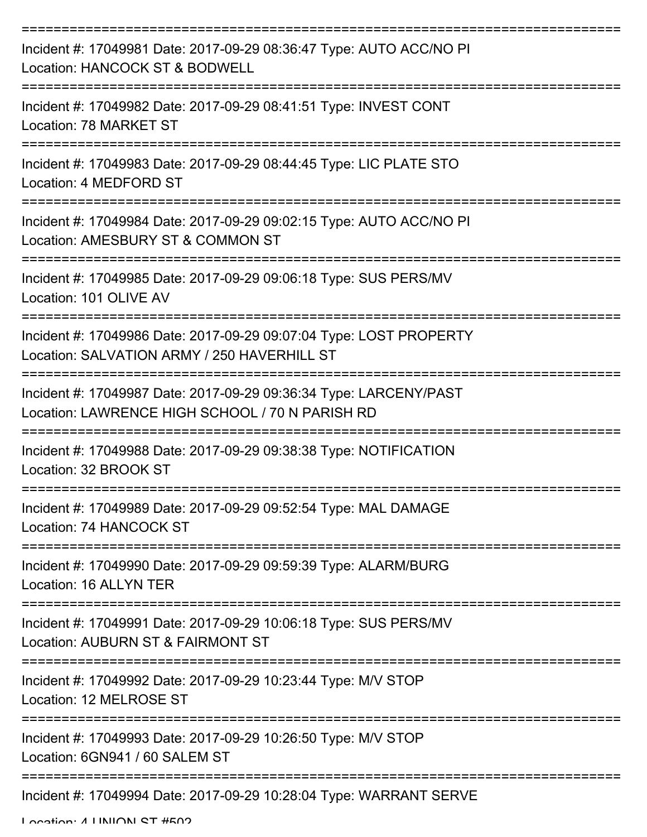| Incident #: 17049981 Date: 2017-09-29 08:36:47 Type: AUTO ACC/NO PI<br>Location: HANCOCK ST & BODWELL                |
|----------------------------------------------------------------------------------------------------------------------|
| Incident #: 17049982 Date: 2017-09-29 08:41:51 Type: INVEST CONT<br>Location: 78 MARKET ST                           |
| Incident #: 17049983 Date: 2017-09-29 08:44:45 Type: LIC PLATE STO<br>Location: 4 MEDFORD ST                         |
| Incident #: 17049984 Date: 2017-09-29 09:02:15 Type: AUTO ACC/NO PI<br>Location: AMESBURY ST & COMMON ST             |
| Incident #: 17049985 Date: 2017-09-29 09:06:18 Type: SUS PERS/MV<br>Location: 101 OLIVE AV                           |
| Incident #: 17049986 Date: 2017-09-29 09:07:04 Type: LOST PROPERTY<br>Location: SALVATION ARMY / 250 HAVERHILL ST    |
| Incident #: 17049987 Date: 2017-09-29 09:36:34 Type: LARCENY/PAST<br>Location: LAWRENCE HIGH SCHOOL / 70 N PARISH RD |
| Incident #: 17049988 Date: 2017-09-29 09:38:38 Type: NOTIFICATION<br>Location: 32 BROOK ST                           |
| Incident #: 17049989 Date: 2017-09-29 09:52:54 Type: MAL DAMAGE<br>Location: 74 HANCOCK ST                           |
| Incident #: 17049990 Date: 2017-09-29 09:59:39 Type: ALARM/BURG<br>Location: 16 ALLYN TER                            |
| Incident #: 17049991 Date: 2017-09-29 10:06:18 Type: SUS PERS/MV<br>Location: AUBURN ST & FAIRMONT ST                |
| Incident #: 17049992 Date: 2017-09-29 10:23:44 Type: M/V STOP<br>Location: 12 MELROSE ST                             |
| Incident #: 17049993 Date: 2017-09-29 10:26:50 Type: M/V STOP<br>Location: 6GN941 / 60 SALEM ST                      |
| Incident #: 17049994 Date: 2017-09-29 10:28:04 Type: WARRANT SERVE                                                   |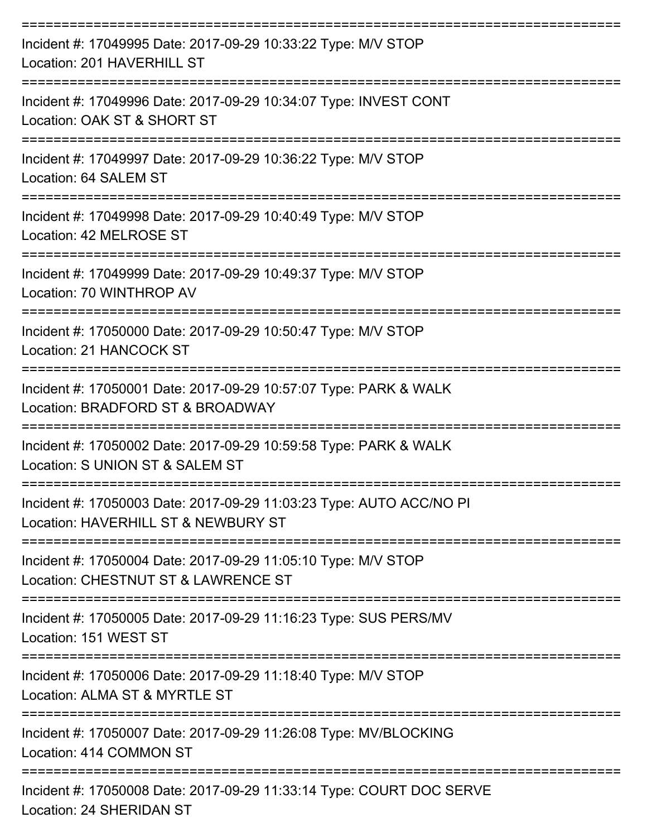| Incident #: 17049995 Date: 2017-09-29 10:33:22 Type: M/V STOP<br>Location: 201 HAVERHILL ST                           |
|-----------------------------------------------------------------------------------------------------------------------|
| Incident #: 17049996 Date: 2017-09-29 10:34:07 Type: INVEST CONT<br>Location: OAK ST & SHORT ST                       |
| Incident #: 17049997 Date: 2017-09-29 10:36:22 Type: M/V STOP<br>Location: 64 SALEM ST                                |
| Incident #: 17049998 Date: 2017-09-29 10:40:49 Type: M/V STOP<br>Location: 42 MELROSE ST                              |
| ========================<br>Incident #: 17049999 Date: 2017-09-29 10:49:37 Type: M/V STOP<br>Location: 70 WINTHROP AV |
| Incident #: 17050000 Date: 2017-09-29 10:50:47 Type: M/V STOP<br>Location: 21 HANCOCK ST                              |
| Incident #: 17050001 Date: 2017-09-29 10:57:07 Type: PARK & WALK<br>Location: BRADFORD ST & BROADWAY                  |
| Incident #: 17050002 Date: 2017-09-29 10:59:58 Type: PARK & WALK<br>Location: S UNION ST & SALEM ST                   |
| Incident #: 17050003 Date: 2017-09-29 11:03:23 Type: AUTO ACC/NO PI<br>Location: HAVERHILL ST & NEWBURY ST            |
| Incident #: 17050004 Date: 2017-09-29 11:05:10 Type: M/V STOP<br>Location: CHESTNUT ST & LAWRENCE ST                  |
| Incident #: 17050005 Date: 2017-09-29 11:16:23 Type: SUS PERS/MV<br>Location: 151 WEST ST                             |
| Incident #: 17050006 Date: 2017-09-29 11:18:40 Type: M/V STOP<br>Location: ALMA ST & MYRTLE ST                        |
| Incident #: 17050007 Date: 2017-09-29 11:26:08 Type: MV/BLOCKING<br>Location: 414 COMMON ST                           |
| Incident #: 17050008 Date: 2017-09-29 11:33:14 Type: COURT DOC SERVE<br>Location: 24 SHERIDAN ST                      |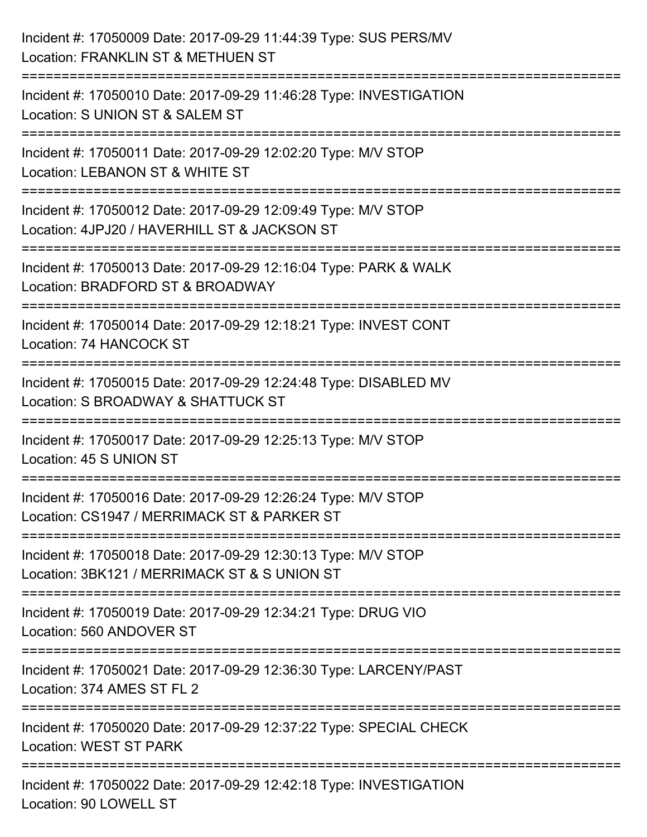| Incident #: 17050009 Date: 2017-09-29 11:44:39 Type: SUS PERS/MV<br>Location: FRANKLIN ST & METHUEN ST                       |
|------------------------------------------------------------------------------------------------------------------------------|
| ===================<br>Incident #: 17050010 Date: 2017-09-29 11:46:28 Type: INVESTIGATION<br>Location: S UNION ST & SALEM ST |
| Incident #: 17050011 Date: 2017-09-29 12:02:20 Type: M/V STOP<br>Location: LEBANON ST & WHITE ST                             |
| Incident #: 17050012 Date: 2017-09-29 12:09:49 Type: M/V STOP<br>Location: 4JPJ20 / HAVERHILL ST & JACKSON ST                |
| Incident #: 17050013 Date: 2017-09-29 12:16:04 Type: PARK & WALK<br>Location: BRADFORD ST & BROADWAY<br>==============       |
| Incident #: 17050014 Date: 2017-09-29 12:18:21 Type: INVEST CONT<br>Location: 74 HANCOCK ST                                  |
| Incident #: 17050015 Date: 2017-09-29 12:24:48 Type: DISABLED MV<br>Location: S BROADWAY & SHATTUCK ST                       |
| Incident #: 17050017 Date: 2017-09-29 12:25:13 Type: M/V STOP<br>Location: 45 S UNION ST                                     |
| Incident #: 17050016 Date: 2017-09-29 12:26:24 Type: M/V STOP<br>Location: CS1947 / MERRIMACK ST & PARKER ST                 |
| Incident #: 17050018 Date: 2017-09-29 12:30:13 Type: M/V STOP<br>Location: 3BK121 / MERRIMACK ST & S UNION ST                |
| Incident #: 17050019 Date: 2017-09-29 12:34:21 Type: DRUG VIO<br>Location: 560 ANDOVER ST                                    |
| Incident #: 17050021 Date: 2017-09-29 12:36:30 Type: LARCENY/PAST<br>Location: 374 AMES ST FL 2                              |
| Incident #: 17050020 Date: 2017-09-29 12:37:22 Type: SPECIAL CHECK<br><b>Location: WEST ST PARK</b>                          |
| Incident #: 17050022 Date: 2017-09-29 12:42:18 Type: INVESTIGATION<br>Location: 90 LOWELL ST                                 |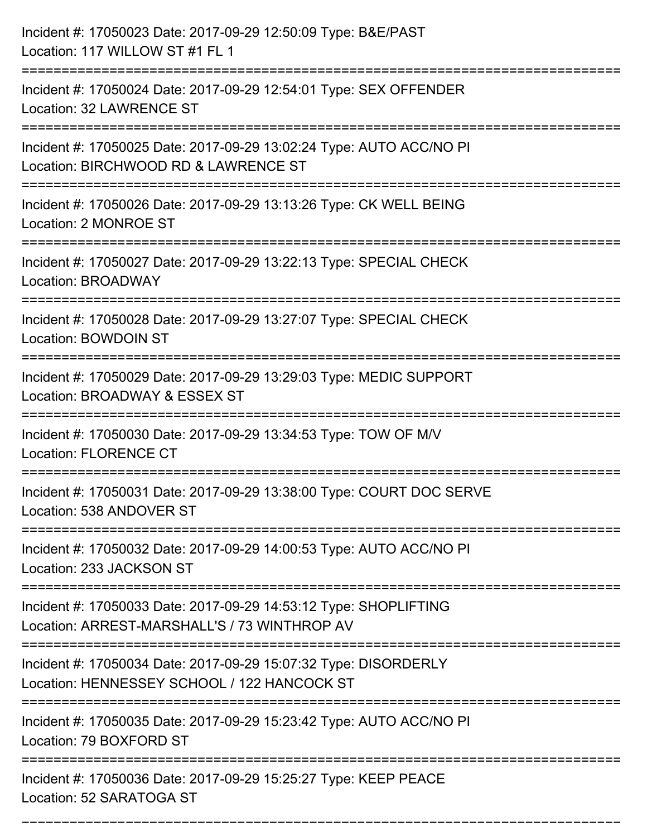| Incident #: 17050023 Date: 2017-09-29 12:50:09 Type: B&E/PAST<br>Location: 117 WILLOW ST #1 FL 1                                       |
|----------------------------------------------------------------------------------------------------------------------------------------|
| Incident #: 17050024 Date: 2017-09-29 12:54:01 Type: SEX OFFENDER<br>Location: 32 LAWRENCE ST                                          |
| Incident #: 17050025 Date: 2017-09-29 13:02:24 Type: AUTO ACC/NO PI<br>Location: BIRCHWOOD RD & LAWRENCE ST<br>:====================== |
| Incident #: 17050026 Date: 2017-09-29 13:13:26 Type: CK WELL BEING<br>Location: 2 MONROE ST                                            |
| Incident #: 17050027 Date: 2017-09-29 13:22:13 Type: SPECIAL CHECK<br>Location: BROADWAY                                               |
| Incident #: 17050028 Date: 2017-09-29 13:27:07 Type: SPECIAL CHECK<br>Location: BOWDOIN ST                                             |
| Incident #: 17050029 Date: 2017-09-29 13:29:03 Type: MEDIC SUPPORT<br>Location: BROADWAY & ESSEX ST<br>===============                 |
| Incident #: 17050030 Date: 2017-09-29 13:34:53 Type: TOW OF M/V<br><b>Location: FLORENCE CT</b>                                        |
| Incident #: 17050031 Date: 2017-09-29 13:38:00 Type: COURT DOC SERVE<br>Location: 538 ANDOVER ST                                       |
| Incident #: 17050032 Date: 2017-09-29 14:00:53 Type: AUTO ACC/NO PI<br>Location: 233 JACKSON ST                                        |
| Incident #: 17050033 Date: 2017-09-29 14:53:12 Type: SHOPLIFTING<br>Location: ARREST-MARSHALL'S / 73 WINTHROP AV                       |
| Incident #: 17050034 Date: 2017-09-29 15:07:32 Type: DISORDERLY<br>Location: HENNESSEY SCHOOL / 122 HANCOCK ST                         |
| Incident #: 17050035 Date: 2017-09-29 15:23:42 Type: AUTO ACC/NO PI<br>Location: 79 BOXFORD ST                                         |
| Incident #: 17050036 Date: 2017-09-29 15:25:27 Type: KEEP PEACE<br>Location: 52 SARATOGA ST                                            |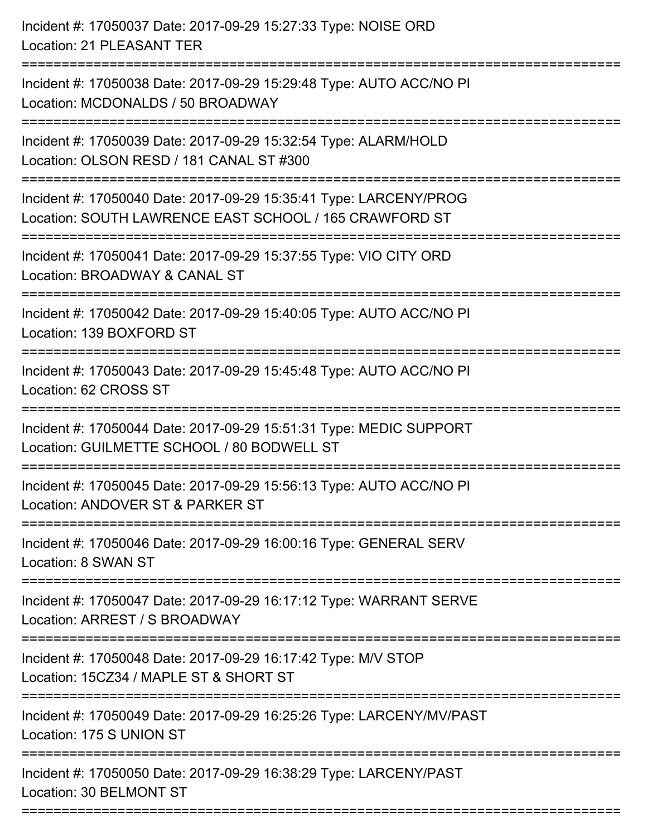| Incident #: 17050037 Date: 2017-09-29 15:27:33 Type: NOISE ORD<br>Location: 21 PLEASANT TER                                 |
|-----------------------------------------------------------------------------------------------------------------------------|
| Incident #: 17050038 Date: 2017-09-29 15:29:48 Type: AUTO ACC/NO PI<br>Location: MCDONALDS / 50 BROADWAY                    |
| Incident #: 17050039 Date: 2017-09-29 15:32:54 Type: ALARM/HOLD<br>Location: OLSON RESD / 181 CANAL ST #300                 |
| Incident #: 17050040 Date: 2017-09-29 15:35:41 Type: LARCENY/PROG<br>Location: SOUTH LAWRENCE EAST SCHOOL / 165 CRAWFORD ST |
| Incident #: 17050041 Date: 2017-09-29 15:37:55 Type: VIO CITY ORD<br>Location: BROADWAY & CANAL ST                          |
| Incident #: 17050042 Date: 2017-09-29 15:40:05 Type: AUTO ACC/NO PI<br>Location: 139 BOXFORD ST                             |
| Incident #: 17050043 Date: 2017-09-29 15:45:48 Type: AUTO ACC/NO PI<br>Location: 62 CROSS ST                                |
| Incident #: 17050044 Date: 2017-09-29 15:51:31 Type: MEDIC SUPPORT<br>Location: GUILMETTE SCHOOL / 80 BODWELL ST            |
| Incident #: 17050045 Date: 2017-09-29 15:56:13 Type: AUTO ACC/NO PI<br>Location: ANDOVER ST & PARKER ST                     |
| Incident #: 17050046 Date: 2017-09-29 16:00:16 Type: GENERAL SERV<br>Location: 8 SWAN ST                                    |
| Incident #: 17050047 Date: 2017-09-29 16:17:12 Type: WARRANT SERVE<br>Location: ARREST / S BROADWAY                         |
| Incident #: 17050048 Date: 2017-09-29 16:17:42 Type: M/V STOP<br>Location: 15CZ34 / MAPLE ST & SHORT ST                     |
| Incident #: 17050049 Date: 2017-09-29 16:25:26 Type: LARCENY/MV/PAST<br>Location: 175 S UNION ST                            |
| Incident #: 17050050 Date: 2017-09-29 16:38:29 Type: LARCENY/PAST<br>Location: 30 BELMONT ST                                |
|                                                                                                                             |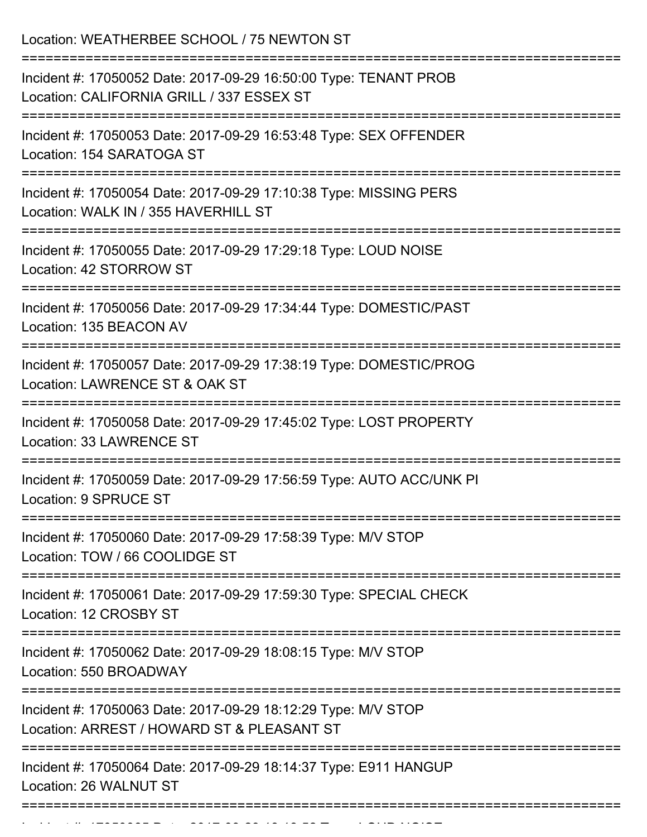Location: WEATHERBEE SCHOOL / 75 NEWTON ST =========================================================================== Incident #: 17050052 Date: 2017-09-29 16:50:00 Type: TENANT PROB Location: CALIFORNIA GRILL / 337 ESSEX ST =========================================================================== Incident #: 17050053 Date: 2017-09-29 16:53:48 Type: SEX OFFENDER Location: 154 SARATOGA ST =========================================================================== Incident #: 17050054 Date: 2017-09-29 17:10:38 Type: MISSING PERS Location: WALK IN / 355 HAVERHILL ST =========================================================================== Incident #: 17050055 Date: 2017-09-29 17:29:18 Type: LOUD NOISE Location: 42 STORROW ST =========================================================================== Incident #: 17050056 Date: 2017-09-29 17:34:44 Type: DOMESTIC/PAST Location: 135 BEACON AV =========================================================================== Incident #: 17050057 Date: 2017-09-29 17:38:19 Type: DOMESTIC/PROG Location: LAWRENCE ST & OAK ST =========================================================================== Incident #: 17050058 Date: 2017-09-29 17:45:02 Type: LOST PROPERTY Location: 33 LAWRENCE ST =========================================================================== Incident #: 17050059 Date: 2017-09-29 17:56:59 Type: AUTO ACC/UNK PI Location: 9 SPRUCE ST =========================================================================== Incident #: 17050060 Date: 2017-09-29 17:58:39 Type: M/V STOP Location: TOW / 66 COOLIDGE ST =========================================================================== Incident #: 17050061 Date: 2017-09-29 17:59:30 Type: SPECIAL CHECK Location: 12 CROSBY ST =========================================================================== Incident #: 17050062 Date: 2017-09-29 18:08:15 Type: M/V STOP Location: 550 BROADWAY =========================================================================== Incident #: 17050063 Date: 2017-09-29 18:12:29 Type: M/V STOP Location: ARREST / HOWARD ST & PLEASANT ST =========================================================================== Incident #: 17050064 Date: 2017-09-29 18:14:37 Type: E911 HANGUP Location: 26 WALNUT ST ===========================================================================

Incident #: 17050065 Date: 2017 09 29 18:18:52 Type: LOUD NOISE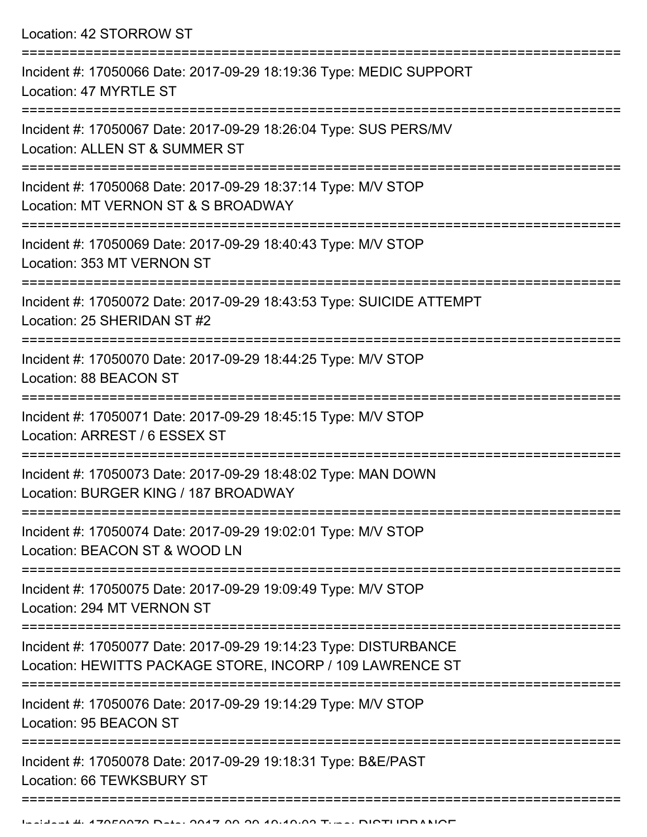Location: 42 STORROW ST

| Incident #: 17050066 Date: 2017-09-29 18:19:36 Type: MEDIC SUPPORT<br>Location: 47 MYRTLE ST                                  |
|-------------------------------------------------------------------------------------------------------------------------------|
| Incident #: 17050067 Date: 2017-09-29 18:26:04 Type: SUS PERS/MV<br>Location: ALLEN ST & SUMMER ST                            |
| Incident #: 17050068 Date: 2017-09-29 18:37:14 Type: M/V STOP<br>Location: MT VERNON ST & S BROADWAY                          |
| Incident #: 17050069 Date: 2017-09-29 18:40:43 Type: M/V STOP<br>Location: 353 MT VERNON ST                                   |
| Incident #: 17050072 Date: 2017-09-29 18:43:53 Type: SUICIDE ATTEMPT<br>Location: 25 SHERIDAN ST #2                           |
| Incident #: 17050070 Date: 2017-09-29 18:44:25 Type: M/V STOP<br>Location: 88 BEACON ST                                       |
| Incident #: 17050071 Date: 2017-09-29 18:45:15 Type: M/V STOP<br>Location: ARREST / 6 ESSEX ST                                |
| Incident #: 17050073 Date: 2017-09-29 18:48:02 Type: MAN DOWN<br>Location: BURGER KING / 187 BROADWAY                         |
| Incident #: 17050074 Date: 2017-09-29 19:02:01 Type: M/V STOP<br>Location: BEACON ST & WOOD LN                                |
| Incident #: 17050075 Date: 2017-09-29 19:09:49 Type: M/V STOP<br>Location: 294 MT VERNON ST                                   |
| Incident #: 17050077 Date: 2017-09-29 19:14:23 Type: DISTURBANCE<br>Location: HEWITTS PACKAGE STORE, INCORP / 109 LAWRENCE ST |
| Incident #: 17050076 Date: 2017-09-29 19:14:29 Type: M/V STOP<br>Location: 95 BEACON ST                                       |
| Incident #: 17050078 Date: 2017-09-29 19:18:31 Type: B&E/PAST<br>Location: 66 TEWKSBURY ST                                    |
|                                                                                                                               |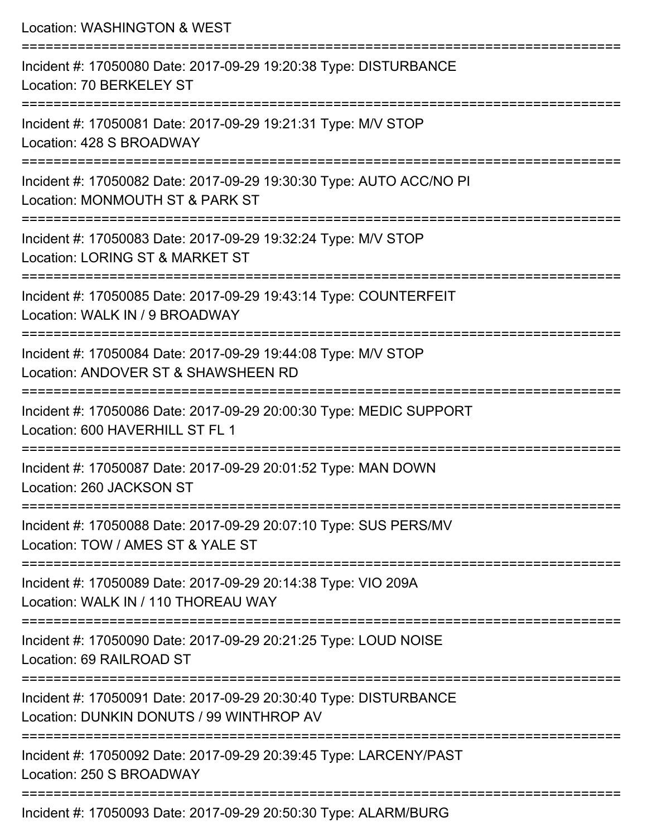| Location: WASHINGTON & WEST                                                                                                           |
|---------------------------------------------------------------------------------------------------------------------------------------|
| Incident #: 17050080 Date: 2017-09-29 19:20:38 Type: DISTURBANCE<br>Location: 70 BERKELEY ST                                          |
| Incident #: 17050081 Date: 2017-09-29 19:21:31 Type: M/V STOP<br>Location: 428 S BROADWAY                                             |
| Incident #: 17050082 Date: 2017-09-29 19:30:30 Type: AUTO ACC/NO PI<br>Location: MONMOUTH ST & PARK ST                                |
| Incident #: 17050083 Date: 2017-09-29 19:32:24 Type: M/V STOP<br>Location: LORING ST & MARKET ST                                      |
| Incident #: 17050085 Date: 2017-09-29 19:43:14 Type: COUNTERFEIT<br>Location: WALK IN / 9 BROADWAY                                    |
| Incident #: 17050084 Date: 2017-09-29 19:44:08 Type: M/V STOP<br>Location: ANDOVER ST & SHAWSHEEN RD<br>:============================ |
| Incident #: 17050086 Date: 2017-09-29 20:00:30 Type: MEDIC SUPPORT<br>Location: 600 HAVERHILL ST FL 1                                 |
| Incident #: 17050087 Date: 2017-09-29 20:01:52 Type: MAN DOWN<br>Location: 260 JACKSON ST                                             |
| Incident #: 17050088 Date: 2017-09-29 20:07:10 Type: SUS PERS/MV<br>Location: TOW / AMES ST & YALE ST                                 |
| Incident #: 17050089 Date: 2017-09-29 20:14:38 Type: VIO 209A<br>Location: WALK IN / 110 THOREAU WAY                                  |
| Incident #: 17050090 Date: 2017-09-29 20:21:25 Type: LOUD NOISE<br>Location: 69 RAILROAD ST                                           |
| Incident #: 17050091 Date: 2017-09-29 20:30:40 Type: DISTURBANCE<br>Location: DUNKIN DONUTS / 99 WINTHROP AV                          |
| Incident #: 17050092 Date: 2017-09-29 20:39:45 Type: LARCENY/PAST<br>Location: 250 S BROADWAY                                         |

Incident #: 17050093 Date: 2017-09-29 20:50:30 Type: ALARM/BURG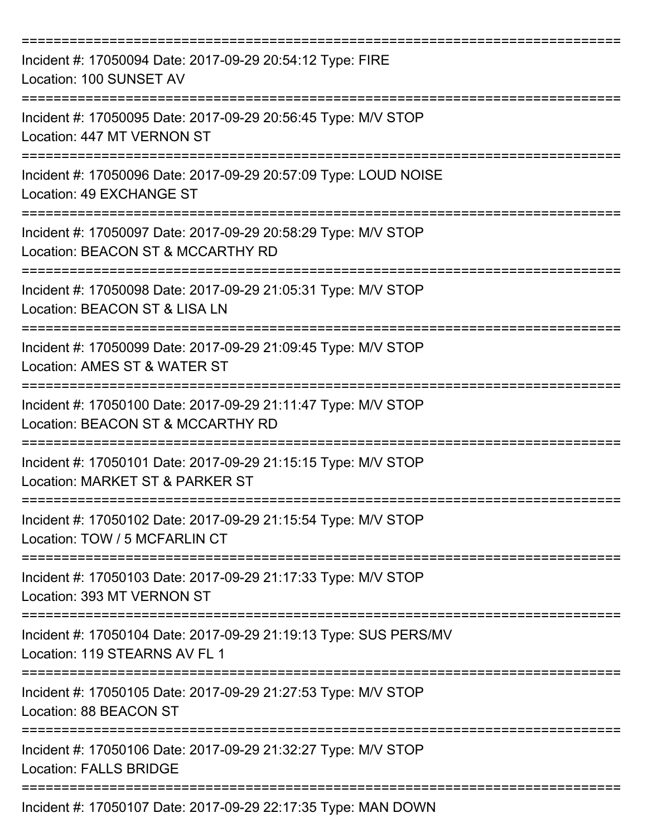| Incident #: 17050094 Date: 2017-09-29 20:54:12 Type: FIRE<br>Location: 100 SUNSET AV               |
|----------------------------------------------------------------------------------------------------|
| Incident #: 17050095 Date: 2017-09-29 20:56:45 Type: M/V STOP<br>Location: 447 MT VERNON ST        |
| Incident #: 17050096 Date: 2017-09-29 20:57:09 Type: LOUD NOISE<br>Location: 49 EXCHANGE ST        |
| Incident #: 17050097 Date: 2017-09-29 20:58:29 Type: M/V STOP<br>Location: BEACON ST & MCCARTHY RD |
| Incident #: 17050098 Date: 2017-09-29 21:05:31 Type: M/V STOP<br>Location: BEACON ST & LISA LN     |
| Incident #: 17050099 Date: 2017-09-29 21:09:45 Type: M/V STOP<br>Location: AMES ST & WATER ST      |
| Incident #: 17050100 Date: 2017-09-29 21:11:47 Type: M/V STOP<br>Location: BEACON ST & MCCARTHY RD |
| Incident #: 17050101 Date: 2017-09-29 21:15:15 Type: M/V STOP<br>Location: MARKET ST & PARKER ST   |
| Incident #: 17050102 Date: 2017-09-29 21:15:54 Type: M/V STOP<br>Location: TOW / 5 MCFARLIN CT     |
| Incident #: 17050103 Date: 2017-09-29 21:17:33 Type: M/V STOP<br>Location: 393 MT VERNON ST        |
| Incident #: 17050104 Date: 2017-09-29 21:19:13 Type: SUS PERS/MV<br>Location: 119 STEARNS AV FL 1  |
| Incident #: 17050105 Date: 2017-09-29 21:27:53 Type: M/V STOP<br>Location: 88 BEACON ST            |
| Incident #: 17050106 Date: 2017-09-29 21:32:27 Type: M/V STOP<br><b>Location: FALLS BRIDGE</b>     |
| Incident #: 17050107 Date: 2017-09-29 22:17:35 Type: MAN DOWN                                      |